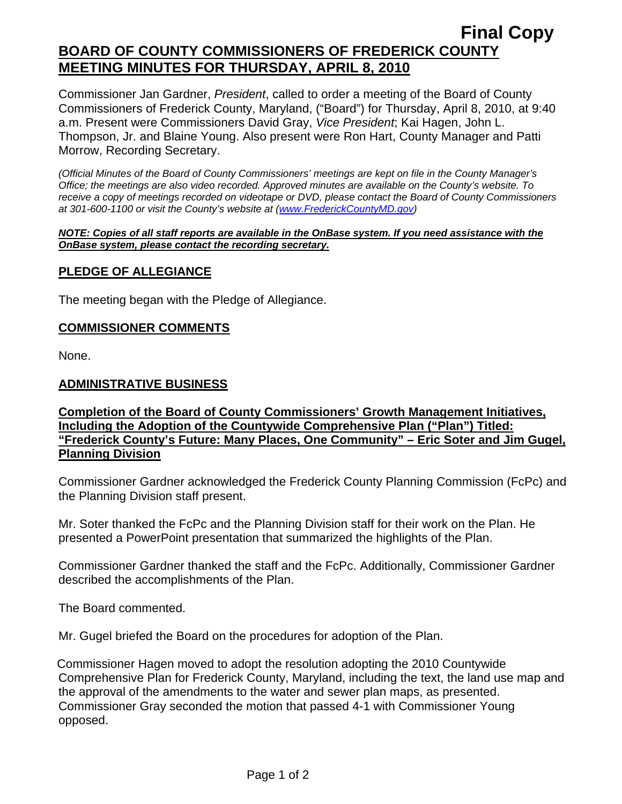# **Final Copy BOARD OF COUNTY COMMISSIONERS OF FREDERICK COUNTY MEETING MINUTES FOR THURSDAY, APRIL 8, 2010**

Commissioner Jan Gardner, *President*, called to order a meeting of the Board of County Commissioners of Frederick County, Maryland, ("Board") for Thursday, April 8, 2010, at 9:40 a.m. Present were Commissioners David Gray, *Vice President*; Kai Hagen, John L. Thompson, Jr. and Blaine Young. Also present were Ron Hart, County Manager and Patti Morrow, Recording Secretary.

*(Official Minutes of the Board of County Commissioners' meetings are kept on file in the County Manager's Office; the meetings are also video recorded. Approved minutes are available on the County's website. To receive a copy of meetings recorded on videotape or DVD, please contact the Board of County Commissioners at 301-600-1100 or visit the County's website at ([www.FrederickCountyMD.gov](http://www.frederickcountymd.gov/))* 

#### *NOTE: Copies of all staff reports are available in the OnBase system. If you need assistance with the OnBase system, please contact the recording secretary.*

# **PLEDGE OF ALLEGIANCE**

The meeting began with the Pledge of Allegiance.

#### **COMMISSIONER COMMENTS**

None.

### **ADMINISTRATIVE BUSINESS**

# **Completion of the Board of County Commissioners' Growth Management Initiatives, Including the Adoption of the Countywide Comprehensive Plan ("Plan") Titled: "Frederick County's Future: Many Places, One Community" – Eric Soter and Jim Gugel, Planning Division**

Commissioner Gardner acknowledged the Frederick County Planning Commission (FcPc) and the Planning Division staff present.

Mr. Soter thanked the FcPc and the Planning Division staff for their work on the Plan. He presented a PowerPoint presentation that summarized the highlights of the Plan.

Commissioner Gardner thanked the staff and the FcPc. Additionally, Commissioner Gardner described the accomplishments of the Plan.

The Board commented.

Mr. Gugel briefed the Board on the procedures for adoption of the Plan.

Commissioner Hagen moved to adopt the resolution adopting the 2010 Countywide Comprehensive Plan for Frederick County, Maryland, including the text, the land use map and the approval of the amendments to the water and sewer plan maps, as presented. Commissioner Gray seconded the motion that passed 4-1 with Commissioner Young opposed.